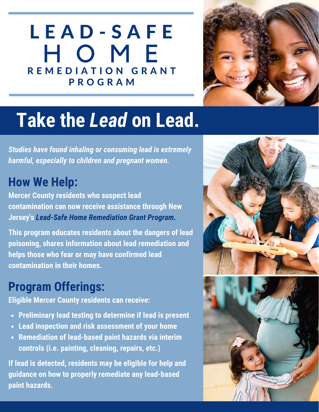## L E A D - S A F E H O M E REMEDIATION GRANT P R O G R A M



# **Take the** *Lead* **on Lead.**

*Studies have found inhaling or consuming lead is extremely harmful, especially to children and pregnant women.*

#### **How We Help:**

**Mercer County residents who suspect lead contamination can now receive assistance through New Jersey's** *Lead-Safe Home Remediation Grant Program.*

**This program educates residents about the dangers of lead poisoning, shares information about lead remediation and helps those who fear or may have confirmed lead contamination in their homes.**

#### **Program Offerings:**

**Eligible Mercer County residents can receive:**

- **Preliminary lead testing to determine if lead is present**
- **Lead inspection and risk assessment of your home**
- **Remediation of lead-based paint hazards via interim controls (i.e. painting, cleaning, repairs, etc.)**

**If lead is detected, residents may be eligible for help and guidance on how to properly remediate any lead-based paint hazards.**